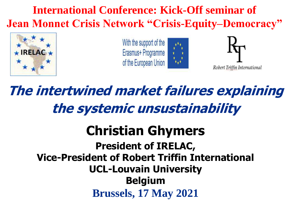**International Conference: Kick-Off seminar of Jean Monnet Crisis Network "Crisis-Equity–Democracy"** 



With the support of the Erasmus+ Programme of the European Union





Robert Triffin International

**The intertwined market failures explaining the systemic unsustainability**

#### **Christian Ghymers President of IRELAC, Vice-President of Robert Triffin International UCL-Louvain University Belgium Brussels, 17 May 2021**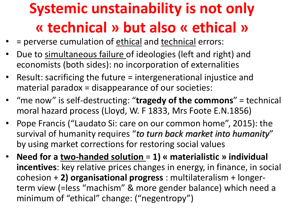## **Systemic unstainability is not only « technical » but also « ethical »**

- = perverse cumulation of ethical and technical errors:
- Due to simultaneous failure of ideologies (left and right) and economists (both sides): no incorporation of externalities
- Result: sacrificing the future = intergenerational injustice and material paradox = disappearance of our societies:
- "me now" is self-destructing: "**tragedy of the commons**" = technical moral hazard process (Lloyd, W. F 1833, Mrs Foote E.N.1856)
- Pope Francis ("Laudato Si: care on our common home", 2015): the survival of humanity requires "*to turn back market into humanity*" by using market corrections for restoring social values
- **Need for a two-handed solution** = **1) « materialistic » individual incentives**: key relative prices changes in energy, in finance, in social cohesion + **2) organisational progress** : multilateralism + longerterm view (=less "machism" & more gender balance) which need a minimum of "ethical" change: ("negentropy")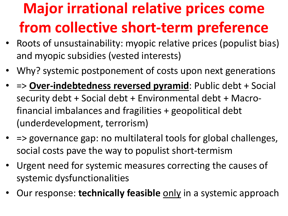# **Major irrational relative prices come from collective short-term preference**

- Roots of unsustainability: myopic relative prices (populist bias) and myopic subsidies (vested interests)
- Why? systemic postponement of costs upon next generations
- => **Over-indebtedness reversed pyramid**: Public debt + Social security debt + Social debt + Environmental debt + Macrofinancial imbalances and fragilities + geopolitical debt (underdevelopment, terrorism)
- => governance gap: no multilateral tools for global challenges, social costs pave the way to populist short-termism
- Urgent need for systemic measures correcting the causes of systemic dysfunctionalities
- Our response: technically feasible only in a systemic approach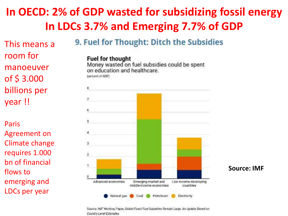#### **In OECD: 2% of GDP wasted for subsidizing fossil energy In LDCs 3.7% and Emerging 7.7% of GDP**

This means a room for manoeuver of \$ 3.000 billions per year !!

Paris Agreement on Climate change requires 1.000 bn of financial flows to emerging and LDCs per year

9. Fuel for Thought: Ditch the Subsidies

#### **Fuel for thought** Money wasted on fuel subsidies could be spent

on education and healthcare.



**Source: IMF**

Source: IMF Working Paper, Global Fossil Fuel Subsidies Remain Large: An Update Based on Country-Level Estimates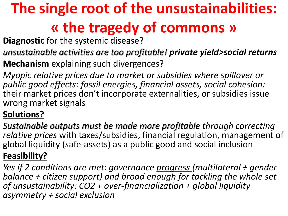# **The single root of the unsustainabilities: « the tragedy of commons »**

**Diagnostic** for the systemic disease?

*unsustainable activities are too profitable! private yield>social returns*

**Mechanism** explaining such divergences?

*Myopic relative prices due to market or subsidies where spillover or public good effects: fossil energies, financial assets, social cohesion:*  their market prices don't incorporate externalities, or subsidies issue wrong market signals

#### **Solutions?**

*Sustainable outputs must be made more profitable through correcting relative prices* with taxes/subsidies, financial regulation, management of global liquidity (safe-assets) as a public good and social inclusion

#### **Feasibility?**

*Yes if 2 conditions are met: governance progress (multilateral + gender balance + citizen support) and broad enough for tackling the whole set of unsustainability: CO2 + over-financialization + global liquidity asymmetry + social exclusion*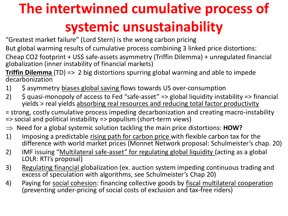# **The intertwinned cumulative process of systemic unsustainability**

- "Greatest market failure" (Lord Stern) is the wrong carbon pricing
- But global warming results of cumulative process combining 3 linked price distortions:
- Cheap CO2 footprint + US\$ safe-assets asymmetry (Triffin Dilemma) + unregulated financial globalization (inner instability of financial markets)
- **Triffin Dilemma** (TD) => 2 big distortions spurring global warming and able to impede decarbonization
- 1) \$ asymmetry biases global saving flows towards US over-consumption
- 2)  $\oint$  quasi-monopoly of access to Fed "safe-asset" => global liquidity instability => financial yields > real yields absorbing real resources and reducing total factor productivity
- = strong, costly cumulative process impeding decarbonization and creating macro-instability => social and political instability => populism (short-term views)
- $\Rightarrow$  Need for a global systemic solution tackling the main price distortions: **HOW?**
- 1) Imposing a predictable rising path for carbon price with flexible carbon tax for the difference with world market prices (Monnet Network proposal: Schulmeister's chap. 20)
- 2) IMF issuing "Multilateral safe-asset" for regulating global liquidity (acting as a global LOLR: RTI's proposal)
- 3) Regulating financial globalization (ex. auction system impeding continuous trading and excess of speculation with algorithms, see Schulmeister's Chap 20)
- 4) Paying for social cohesion: financing collective goods by fiscal multilateral cooperation (preventing under-pricing of social costs of exclusion and tax-free riders)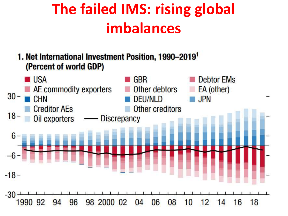### **The failed IMS: rising global imbalances**

1. Net International Investment Position, 1990-2019<sup>1</sup> (Percent of world GDP)

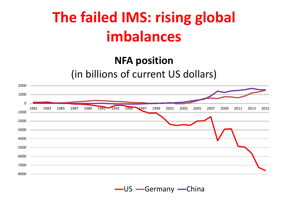### **The failed IMS: rising global imbalances**

#### **NFA position**

(in billions of current US dollars)

| 2000    |                                       |                     |                |           |      |      |      |      |      |      |      |      |      |
|---------|---------------------------------------|---------------------|----------------|-----------|------|------|------|------|------|------|------|------|------|
|         |                                       |                     |                |           |      |      |      |      |      |      |      |      |      |
| $0 -$   |                                       |                     |                |           |      |      |      |      |      |      |      |      |      |
| $-1000$ |                                       | 1981 1983 1985 1987 | 1989 1991 1993 | 1995 1997 | 1999 | 2001 | 2003 | 2005 | 2007 | 2009 | 2011 | 2013 | 2015 |
|         |                                       |                     |                |           |      |      |      |      |      |      |      |      |      |
|         |                                       |                     |                |           |      |      |      |      |      |      |      |      |      |
| $-4000$ |                                       |                     |                |           |      |      |      |      |      |      |      |      |      |
|         | $-5000$ $\qquad \qquad \qquad \qquad$ |                     |                |           |      |      |      |      |      |      |      |      |      |
|         |                                       |                     |                |           |      |      |      |      |      |      |      |      |      |
| $-7000$ |                                       |                     |                |           |      |      |      |      |      |      |      |      |      |
| $-8000$ |                                       |                     |                |           |      |      |      |      |      |      |      |      |      |

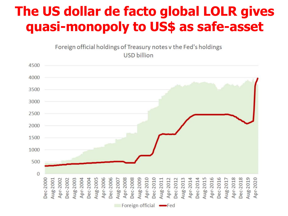#### **The US dollar de facto global LOLR gives quasi-monopoly to US\$ as safe-asset**

Foreign official holdings of Treasury notes v the Fed's holdings **USD billion** 

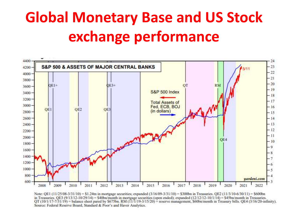## **Global Monetary Base and US Stock exchange performance**



Note: QE1 (11/25/08-3/31/10) = \$1.24th in mortgage securities; expanded (3/16/09-3/31/10) = \$300bn in Treasuries, QE2 (11/3/10-6/30/11) = \$600bn in Treasuries. QE3 (9/13/12-10/29/14) = \$40bn/month in mortgage securities (open ended); expanded (12/12/12-10/1/14) = \$45bn/month in Treasuries. QT (10/1/17-7/31/19) = balance sheet pared by \$675bn. RM (11/1/19-3/15/20) = reserve management, \$60bn/month in Treasury bills. QE4 (3/16/20-infinity). Source: Federal Reserve Board, Standard & Poor's and Haver Analytics.